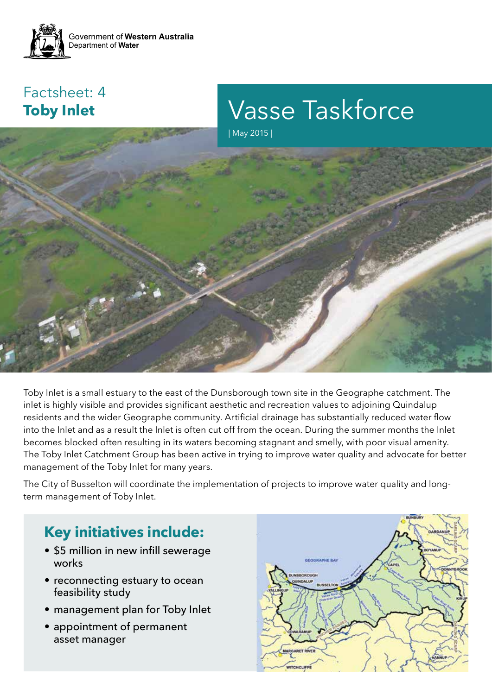

### Factsheet: 4 **Toby Inlet**

Vasse Taskforce

| May 2015 |



Toby Inlet is a small estuary to the east of the Dunsborough town site in the Geographe catchment. The inlet is highly visible and provides significant aesthetic and recreation values to adjoining Quindalup residents and the wider Geographe community. Artificial drainage has substantially reduced water flow into the Inlet and as a result the Inlet is often cut off from the ocean. During the summer months the Inlet becomes blocked often resulting in its waters becoming stagnant and smelly, with poor visual amenity. The Toby Inlet Catchment Group has been active in trying to improve water quality and advocate for better management of the Toby Inlet for many years.

The City of Busselton will coordinate the implementation of projects to improve water quality and longterm management of Toby Inlet.

## **Key initiatives include:**

- \$5 million in new infill sewerage works
- reconnecting estuary to ocean feasibility study
- management plan for Toby Inlet
- appointment of permanent asset manager